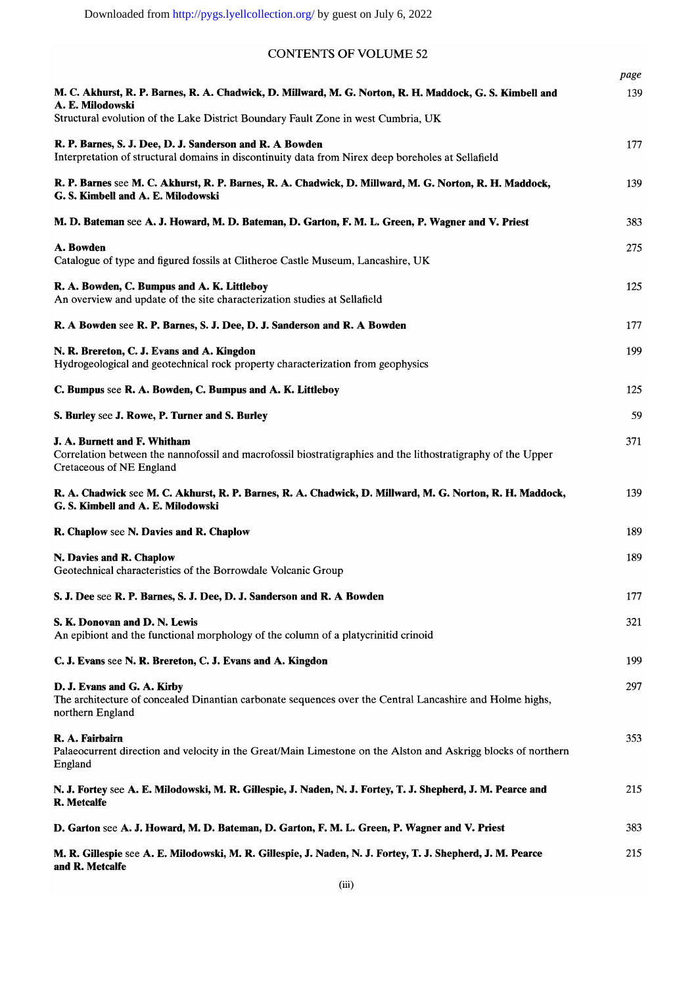# **CONTENTS OF VOLUME 52**

|                                                                                                                                                                          | page |
|--------------------------------------------------------------------------------------------------------------------------------------------------------------------------|------|
| M. C. Akhurst, R. P. Barnes, R. A. Chadwick, D. Millward, M. G. Norton, R. H. Maddock, G. S. Kimbell and<br>A. E. Milodowski                                             | 139  |
| Structural evolution of the Lake District Boundary Fault Zone in west Cumbria, UK                                                                                        |      |
| R. P. Barnes, S. J. Dee, D. J. Sanderson and R. A Bowden<br>Interpretation of structural domains in discontinuity data from Nirex deep boreholes at Sellafield           | 177  |
| R. P. Barnes see M. C. Akhurst, R. P. Barnes, R. A. Chadwick, D. Millward, M. G. Norton, R. H. Maddock,<br>G. S. Kimbell and A. E. Milodowski                            | 139  |
| M. D. Bateman see A. J. Howard, M. D. Bateman, D. Garton, F. M. L. Green, P. Wagner and V. Priest                                                                        | 383  |
| A. Bowden<br>Catalogue of type and figured fossils at Clitheroe Castle Museum, Lancashire, UK                                                                            | 275  |
| R. A. Bowden, C. Bumpus and A. K. Littleboy<br>An overview and update of the site characterization studies at Sellafield                                                 | 125  |
| R. A Bowden see R. P. Barnes, S. J. Dee, D. J. Sanderson and R. A Bowden                                                                                                 | 177  |
| N. R. Brereton, C. J. Evans and A. Kingdon<br>Hydrogeological and geotechnical rock property characterization from geophysics                                            | 199  |
| C. Bumpus see R. A. Bowden, C. Bumpus and A. K. Littleboy                                                                                                                | 125  |
| S. Burley see J. Rowe, P. Turner and S. Burley                                                                                                                           | 59   |
| J. A. Burnett and F. Whitham<br>Correlation between the nannofossil and macrofossil biostratigraphies and the lithostratigraphy of the Upper<br>Cretaceous of NE England | 371  |
| R. A. Chadwick see M. C. Akhurst, R. P. Barnes, R. A. Chadwick, D. Millward, M. G. Norton, R. H. Maddock,<br>G. S. Kimbell and A. E. Milodowski                          | 139  |
| R. Chaplow see N. Davies and R. Chaplow                                                                                                                                  | 189  |
| N. Davies and R. Chaplow<br>Geotechnical characteristics of the Borrowdale Volcanic Group                                                                                | 189  |
| S. J. Dee see R. P. Barnes, S. J. Dee, D. J. Sanderson and R. A Bowden                                                                                                   | 177  |
| S. K. Donovan and D. N. Lewis<br>An epibiont and the functional morphology of the column of a platycrinitid crinoid                                                      | 321  |
| C. J. Evans see N. R. Brereton, C. J. Evans and A. Kingdon                                                                                                               | 199  |
| D. J. Evans and G. A. Kirby<br>The architecture of concealed Dinantian carbonate sequences over the Central Lancashire and Holme highs,<br>northern England              | 297  |
| R. A. Fairbairn<br>Palaeocurrent direction and velocity in the Great/Main Limestone on the Alston and Askrigg blocks of northern<br>England                              | 353  |
| N. J. Fortey see A. E. Milodowski, M. R. Gillespie, J. Naden, N. J. Fortey, T. J. Shepherd, J. M. Pearce and<br><b>R.</b> Metcalfe                                       | 215  |
| D. Garton see A. J. Howard, M. D. Bateman, D. Garton, F. M. L. Green, P. Wagner and V. Priest                                                                            | 383  |
| M. R. Gillespie see A. E. Milodowski, M. R. Gillespie, J. Naden, N. J. Fortey, T. J. Shepherd, J. M. Pearce<br>and R. Metcalfe                                           | 215  |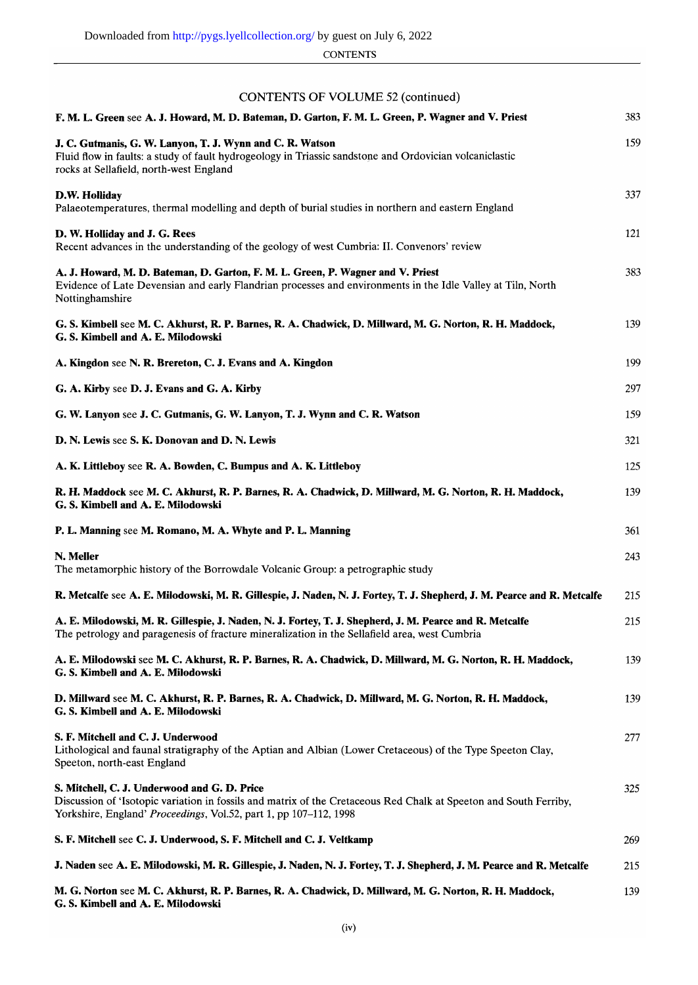**CONTENTS** 

## **CONTENTS OF VOLUME 52 (continued)**

| F. M. L. Green see A. J. Howard, M. D. Bateman, D. Garton, F. M. L. Green, P. Wagner and V. Priest                                                                                                                                     | 383 |
|----------------------------------------------------------------------------------------------------------------------------------------------------------------------------------------------------------------------------------------|-----|
| J. C. Gutmanis, G. W. Lanyon, T. J. Wynn and C. R. Watson<br>Fluid flow in faults: a study of fault hydrogeology in Triassic sandstone and Ordovician volcaniclastic<br>rocks at Sellafield, north-west England                        | 159 |
| D.W. Holliday<br>Palaeotemperatures, thermal modelling and depth of burial studies in northern and eastern England                                                                                                                     | 337 |
| D. W. Holliday and J. G. Rees<br>Recent advances in the understanding of the geology of west Cumbria: II. Convenors' review                                                                                                            | 121 |
| A. J. Howard, M. D. Bateman, D. Garton, F. M. L. Green, P. Wagner and V. Priest<br>Evidence of Late Devensian and early Flandrian processes and environments in the Idle Valley at Tiln, North<br>Nottinghamshire                      | 383 |
| G. S. Kimbell see M. C. Akhurst, R. P. Barnes, R. A. Chadwick, D. Millward, M. G. Norton, R. H. Maddock,<br>G. S. Kimbell and A. E. Milodowski                                                                                         | 139 |
| A. Kingdon see N. R. Brereton, C. J. Evans and A. Kingdon                                                                                                                                                                              | 199 |
| G. A. Kirby see D. J. Evans and G. A. Kirby                                                                                                                                                                                            | 297 |
| G. W. Lanyon see J. C. Gutmanis, G. W. Lanyon, T. J. Wynn and C. R. Watson                                                                                                                                                             | 159 |
| D. N. Lewis see S. K. Donovan and D. N. Lewis                                                                                                                                                                                          | 321 |
| A. K. Littleboy see R. A. Bowden, C. Bumpus and A. K. Littleboy                                                                                                                                                                        | 125 |
| R. H. Maddock see M. C. Akhurst, R. P. Barnes, R. A. Chadwick, D. Millward, M. G. Norton, R. H. Maddock,<br>G. S. Kimbell and A. E. Milodowski                                                                                         | 139 |
| P. L. Manning see M. Romano, M. A. Whyte and P. L. Manning                                                                                                                                                                             | 361 |
| N. Meller                                                                                                                                                                                                                              | 243 |
| The metamorphic history of the Borrowdale Volcanic Group: a petrographic study                                                                                                                                                         |     |
| R. Metcalfe see A. E. Milodowski, M. R. Gillespie, J. Naden, N. J. Fortey, T. J. Shepherd, J. M. Pearce and R. Metcalfe                                                                                                                | 215 |
| A. E. Milodowski, M. R. Gillespie, J. Naden, N. J. Fortey, T. J. Shepherd, J. M. Pearce and R. Metcalfe<br>The petrology and paragenesis of fracture mineralization in the Sellafield area, west Cumbria                               | 215 |
| A. E. Milodowski see M. C. Akhurst, R. P. Barnes, R. A. Chadwick, D. Millward, M. G. Norton, R. H. Maddock,<br>G. S. Kimbell and A. E. Milodowski                                                                                      | 139 |
| D. Millward see M. C. Akhurst, R. P. Barnes, R. A. Chadwick, D. Millward, M. G. Norton, R. H. Maddock,<br>G. S. Kimbell and A. E. Milodowski                                                                                           | 139 |
| S. F. Mitchell and C. J. Underwood<br>Lithological and faunal stratigraphy of the Aptian and Albian (Lower Cretaceous) of the Type Speeton Clay,<br>Speeton, north-east England                                                        | 277 |
| S. Mitchell, C. J. Underwood and G. D. Price<br>Discussion of 'Isotopic variation in fossils and matrix of the Cretaceous Red Chalk at Speeton and South Ferriby,<br>Yorkshire, England' Proceedings, Vol.52, part 1, pp 107-112, 1998 | 325 |
| S. F. Mitchell see C. J. Underwood, S. F. Mitchell and C. J. Veltkamp                                                                                                                                                                  | 269 |
| J. Naden see A. E. Milodowski, M. R. Gillespie, J. Naden, N. J. Fortey, T. J. Shepherd, J. M. Pearce and R. Metcalfe                                                                                                                   | 215 |
| M. G. Norton see M. C. Akhurst, R. P. Barnes, R. A. Chadwick, D. Millward, M. G. Norton, R. H. Maddock,<br>G. S. Kimbell and A. E. Milodowski                                                                                          | 139 |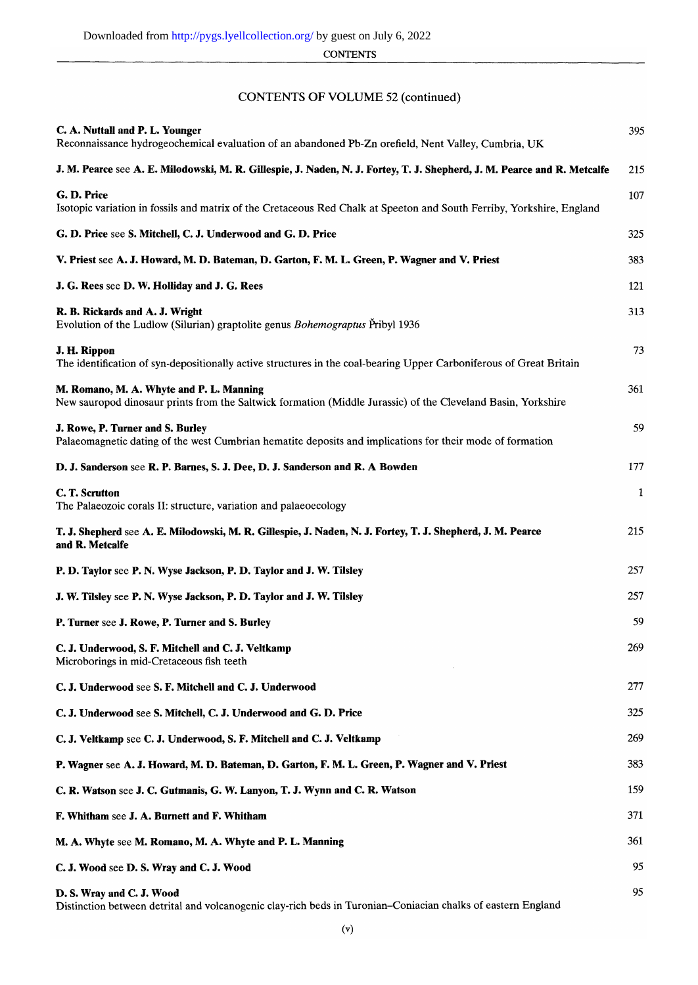**CONTENTS** 

## **CONTENTS OF VOLUME 52 (continued)**

| C. A. Nuttall and P. L. Younger<br>Reconnaissance hydrogeochemical evaluation of an abandoned Pb-Zn orefield, Nent Valley, Cumbria, UK                   | 395          |
|----------------------------------------------------------------------------------------------------------------------------------------------------------|--------------|
| J. M. Pearce see A. E. Milodowski, M. R. Gillespie, J. Naden, N. J. Fortey, T. J. Shepherd, J. M. Pearce and R. Metcalfe                                 | 215          |
| G.D. Price<br>Isotopic variation in fossils and matrix of the Cretaceous Red Chalk at Speeton and South Ferriby, Yorkshire, England                      | 107          |
| G. D. Price see S. Mitchell, C. J. Underwood and G. D. Price                                                                                             | 325          |
| V. Priest see A. J. Howard, M. D. Bateman, D. Garton, F. M. L. Green, P. Wagner and V. Priest                                                            | 383          |
| J. G. Rees see D. W. Holliday and J. G. Rees                                                                                                             | 121          |
| R. B. Rickards and A. J. Wright<br>Evolution of the Ludlow (Silurian) graptolite genus <i>Bohemograptus</i> Pribyl 1936                                  | 313          |
| J. H. Rippon<br>The identification of syn-depositionally active structures in the coal-bearing Upper Carboniferous of Great Britain                      | 73           |
| M. Romano, M. A. Whyte and P. L. Manning<br>New sauropod dinosaur prints from the Saltwick formation (Middle Jurassic) of the Cleveland Basin, Yorkshire | 361          |
| J. Rowe, P. Turner and S. Burley<br>Palaeomagnetic dating of the west Cumbrian hematite deposits and implications for their mode of formation            | 59           |
| D. J. Sanderson see R. P. Barnes, S. J. Dee, D. J. Sanderson and R. A Bowden                                                                             | 177          |
| C. T. Scrutton<br>The Palaeozoic corals II: structure, variation and palaeoecology                                                                       | $\mathbf{1}$ |
| T. J. Shepherd see A. E. Milodowski, M. R. Gillespie, J. Naden, N. J. Fortey, T. J. Shepherd, J. M. Pearce<br>and R. Metcalfe                            | 215          |
| P. D. Taylor see P. N. Wyse Jackson, P. D. Taylor and J. W. Tilsley                                                                                      | 257          |
| J. W. Tilsley see P. N. Wyse Jackson, P. D. Taylor and J. W. Tilsley                                                                                     | 257          |
| P. Turner see J. Rowe, P. Turner and S. Burley                                                                                                           | 59           |
| C. J. Underwood, S. F. Mitchell and C. J. Veltkamp<br>Microborings in mid-Cretaceous fish teeth                                                          | 269          |
| C. J. Underwood see S. F. Mitchell and C. J. Underwood                                                                                                   | 277          |
| C. J. Underwood see S. Mitchell, C. J. Underwood and G. D. Price                                                                                         | 325          |
| C. J. Veltkamp see C. J. Underwood, S. F. Mitchell and C. J. Veltkamp                                                                                    | 269          |
| P. Wagner see A. J. Howard, M. D. Bateman, D. Garton, F. M. L. Green, P. Wagner and V. Priest                                                            | 383          |
| C. R. Watson see J. C. Gutmanis, G. W. Lanyon, T. J. Wynn and C. R. Watson                                                                               | 159          |
| F. Whitham see J. A. Burnett and F. Whitham                                                                                                              | 371          |
| M. A. Whyte see M. Romano, M. A. Whyte and P. L. Manning                                                                                                 | 361          |
| C. J. Wood see D. S. Wray and C. J. Wood                                                                                                                 | 95           |
| D. S. Wray and C. J. Wood<br>Distinction between detrital and volcanogenic clay-rich beds in Turonian-Coniacian chalks of eastern England                | 95           |